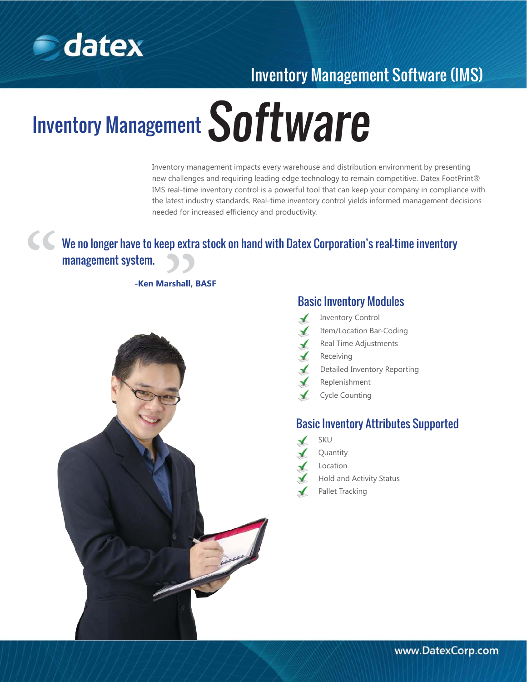

## Inventory Management Software (IMS)

# **Inventory Management Software**

Inventory management impacts every warehouse and distribution environment by presenting new challenges and requiring leading edge technology to remain competitive. Datex FootPrint® IMS real-time inventory control is a powerful tool that can keep your company in compliance with the latest industry standards. Real-time inventory control yields informed management decisions needed for increased efficiency and productivity.

# We no longer have to keep extra stock on hand with Datex Corporation's real-time inventory We no longer have to keep extra<br>management system.<br>-Ken Marshall, E "

**-Ken Marshall, BASF**



#### Basic Inventory Modules

- Inventory Control  $\checkmark$ 
	- Item/Location Bar-Coding
- Real Time Adjustments  $\blacktriangle$ 
	- Receiving
- Detailed Inventory Reporting
- Replenishment
- Cycle Counting

#### Basic Inventory Attributes Supported

- SKU
- Quantity
- Location
- Hold and Activity Status
- Pallet Tracking